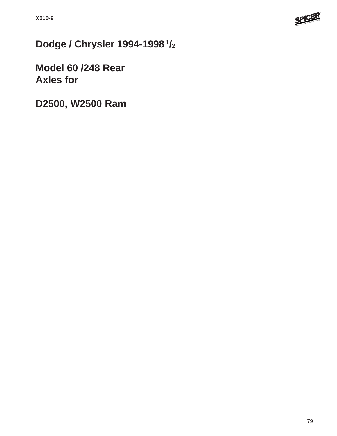

**Dodge / Chrysler 1994-1998 1/2**

**Model 60 /248 Rear Axles for**

**D2500, W2500 Ram**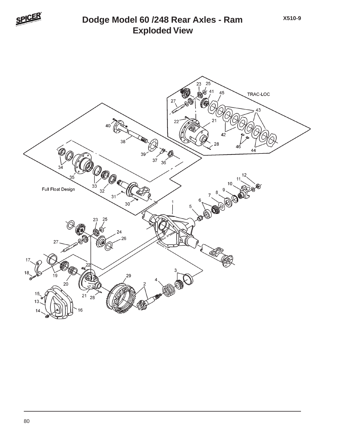

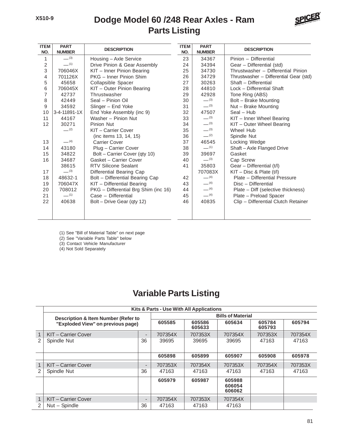## **Dodge Model 60 /248 Rear Axles - Ram Parts Listing**



| <b>ITEM</b><br>NO. | <b>PART</b><br><b>NUMBER</b> | <b>DESCRIPTION</b>                   | <b>ITEM</b><br>NO. | <b>PART</b><br><b>NUMBER</b> | <b>DESCRIPTION</b>                     |
|--------------------|------------------------------|--------------------------------------|--------------------|------------------------------|----------------------------------------|
| 1                  | $- (3)$                      | Housing - Axle Service               | 23                 | 34367                        | Pinion - Differential                  |
| 2                  | $-$ (1)                      | Drive Pinion & Gear Assembly         | 24                 | 34394                        | Gear - Differential (std)              |
| 3                  | 706046X                      | KIT - Inner Pinion Bearing           | 25                 | 34730                        | Thrustwasher - Differential Pinion     |
| 4                  | 701126X                      | PKG - Inner Pinion Shim              | 26                 | 34729                        | Thrustwasher - Differential Gear (std) |
| 5                  | 45658                        | Collapsible Spacer                   | 27                 | 30263                        | Shaft - Differential                   |
| 6                  | 706045X                      | KIT - Outer Pinion Bearing           | 28                 | 44810                        | Lock - Differential Shaft              |
| 7                  | 42737                        | Thrustwasher                         | 29                 | 42928                        | Tone Ring (ABS)                        |
| 8                  | 42449                        | Seal - Pinion Oil                    | 30                 | $-^{(3)}$                    | Bolt - Brake Mounting                  |
| 9                  | 34592                        | Slinger - End Yoke                   | 31                 | $-^{(3)}$                    | Nut - Brake Mounting                   |
| 10                 | 3-4-11891-1X                 | End Yoke Assembly (inc 9)            | 32                 | 47507                        | $Seal - Hub$                           |
| 11                 | 44167                        | Washer - Pinion Nut                  | 33                 | $-^{(3)}$                    | KIT - Inner Wheel Bearing              |
| 12                 | 30271                        | Pinion Nut                           | 34                 | $-^{(3)}$                    | KIT - Outer Wheel Bearing              |
|                    | $-$ (2)                      | KIT - Carrier Cover                  | 35                 | $-^{(3)}$                    | Wheel Hub                              |
|                    |                              | (inc items 13, 14, 15)               | 36                 | $-^{(2)}$                    | Spindle Nut                            |
| 13                 | $-$ (4)                      | <b>Carrier Cover</b>                 | 37                 | 46545                        | Locking Wedge                          |
| 14                 | 43180                        | Plug - Carrier Cover                 | 38                 | $-$ (1)                      | Shaft-Axle Flanged Drive               |
| 15                 | 34822                        | Bolt - Carrier Cover (qty 10)        | 39                 | 39697                        | Gasket                                 |
| 16                 | 34687                        | Gasket - Carrier Cover               | 40                 | $-^{(3)}$                    | Cap Screw                              |
|                    | 38615                        | <b>RTV Silicone Sealant</b>          | 41                 | 35803                        | Gear - Differential (t/l)              |
| 17                 | $-^{(3)}$                    | Differential Bearing Cap             |                    | 707083X                      | $KIT - Disc 8$ Plate $(t/I)$           |
| 18                 | 48632-1                      | Bolt - Differential Bearing Cap      | 42                 | $-$ (4)                      | Plate - Differential Pressure          |
| 19                 | 706047X                      | KIT - Differential Bearing           | 43                 | $-$ (4)                      | Disc - Differential                    |
| 20                 | 708012                       | PKG - Differential Brg Shim (inc 16) | 44                 | $-$ (4)                      | Plate – Diff (selective thickness)     |
| 21                 | $-$ (1)                      | Case - Differential                  | 45                 | $-$ (4)                      | Plate - Preload Spacer                 |
| 22                 | 40638                        | Bolt - Drive Gear (qty 12)           | 46                 | 40835                        | Clip - Differential Clutch Retainer    |
|                    |                              |                                      |                    |                              |                                        |

(1) See "Bill of Material Table" on next page

(2) See "Variable Parts Table" below

(3) Contact Vehicle Manufacturer

(4) Not Sold Separately

## **Variable Parts Listing**

|                | Kits & Parts - Use With All Applications |                          |                  |         |                            |         |         |  |  |  |
|----------------|------------------------------------------|--------------------------|------------------|---------|----------------------------|---------|---------|--|--|--|
|                | Description & Item Number (Refer to      | <b>Bills of Material</b> |                  |         |                            |         |         |  |  |  |
|                | "Exploded View" on previous page)        | 605585                   | 605586<br>605633 | 605634  | 605784<br>605793           | 605794  |         |  |  |  |
| $\mathbf{1}$   | KIT-Carrier Cover                        | $\overline{\phantom{0}}$ | 707354X          | 707353X | 707354X                    | 707353X | 707354X |  |  |  |
| 2              | Spindle Nut                              | 36                       | 39695            | 39695   | 39695                      | 47163   | 47163   |  |  |  |
|                |                                          |                          |                  |         |                            |         |         |  |  |  |
|                |                                          |                          | 605898           | 605899  | 605907                     | 605908  | 605978  |  |  |  |
| $\mathbf{1}$   | KIT-Carrier Cover                        | $\overline{\phantom{0}}$ | 707353X          | 707354X | 707353X                    | 707354X | 707353X |  |  |  |
| $\mathfrak{p}$ | Spindle Nut                              | 36                       | 47163            | 47163   | 47163                      | 47163   | 47163   |  |  |  |
|                |                                          |                          | 605979           | 605987  | 605988<br>606054<br>606062 |         |         |  |  |  |
| $\mathbf{1}$   | KIT - Carrier Cover                      | $\qquad \qquad$          | 707354X          | 707353X | 707354X                    |         |         |  |  |  |
| $\mathfrak{D}$ | Nut - Spindle                            | 36                       | 47163            | 47163   | 47163                      |         |         |  |  |  |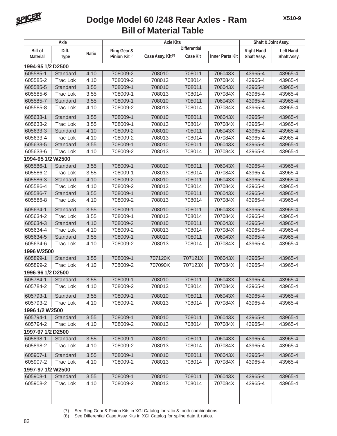

## **Bill of Material Table Dodge Model 60 /248 Rear Axles - Ram**

| Axle              |                 |       |                           | <b>Axle Kits</b>              | Shaft & Joint Assy. |                        |                   |                  |  |
|-------------------|-----------------|-------|---------------------------|-------------------------------|---------------------|------------------------|-------------------|------------------|--|
| <b>Bill of</b>    | Diff.           |       | Ring Gear &               |                               | <b>Differential</b> |                        | <b>Right Hand</b> | <b>Left Hand</b> |  |
| <b>Material</b>   | <b>Type</b>     | Ratio | Pinion Kit <sup>(7)</sup> | Case Assy. Kit <sup>(8)</sup> | <b>Case Kit</b>     | <b>Inner Parts Kit</b> | Shaft Assy.       | Shaft Assy.      |  |
| 1994-95 1/2 D2500 |                 |       |                           |                               |                     |                        |                   |                  |  |
| 605585-1          | Standard        | 4.10  | 708009-2                  | 708010                        | 708011              | 706043X                | 43965-4           | 43965-4          |  |
| 605585-2          | Trac Lok        | 4.10  | 708009-2                  | 708013                        | 708014              | 707084X                | 43965-4           | 43965-4          |  |
| 605585-5          | Standard        | 3.55  | 708009-1                  | 708010                        | 708011              | 706043X                | 43965-4           | 43965-4          |  |
| 605585-6          | <b>Trac Lok</b> | 3.55  | 708009-1                  | 708013                        | 708014              | 707084X                | 43965-4           | 43965-4          |  |
| 605585-7          | Standard        | 3.55  | 708009-1                  | 708010                        | 708011              | 706043X                | 43965-4           | 43965-4          |  |
| 605585-8          | <b>Trac Lok</b> | 4.10  | 708009-2                  | 708013                        | 708014              | 707084X                | 43965-4           | 43965-4          |  |
| 605633-1          | Standard        | 3.55  | 708009-1                  | 708010                        | 708011              | 706043X                | 43965-4           | 43965-4          |  |
| 605633-2          | <b>Trac Lok</b> | 3.55  | 708009-1                  | 708013                        | 708014              | 707084X                | 43965-4           | 43965-4          |  |
| 605633-3          | Standard        | 4.10  | 708009-2                  | 708010                        | 708011              | 706043X                | 43965-4           | 43965-4          |  |
| 605633-4          | <b>Trac Lok</b> | 4.10  | 708009-2                  | 708013                        | 708014              | 707084X                | 43965-4           | 43965-4          |  |
| 605633-5          | Standard        | 3.55  | 708009-1                  | 708010                        | 708011              | 706043X                | 43965-4           | 43965-4          |  |
| 605633-6          | <b>Trac Lok</b> | 4.10  | 708009-2                  | 708013                        | 708014              | 707084X                | 43965-4           | 43965-4          |  |
| 1994-95 1/2 W2500 |                 |       |                           |                               |                     |                        |                   |                  |  |
| 605586-1          | Standard        | 3.55  | 708009-1                  | 708010                        | 708011              | 706043X                | 43965-4           | 43965-4          |  |
| 605586-2          | <b>Trac Lok</b> | 3.55  | 708009-1                  | 708013                        | 708014              | 707084X                | 43965-4           | 43965-4          |  |
| 605586-3          | Standard        | 4.10  | 708009-2                  | 708010                        | 708011              | 706043X                | 43965-4           | 43965-4          |  |
| 605586-4          | <b>Trac Lok</b> | 4.10  | 708009-2                  | 708013                        | 708014              | 707084X                | 43965-4           | 43965-4          |  |
| 605586-7          | Standard        | 3.55  | 708009-1                  | 708010                        | 708011              | 706043X                | 43965-4           | 43965-4          |  |
| 605586-8          | <b>Trac Lok</b> | 4.10  | 708009-2                  | 708013                        | 708014              | 707084X                | 43965-4           | 43965-4          |  |
| 605634-1          | Standard        | 3.55  | 708009-1                  | 708010                        | 708011              | 706043X                | 43965-4           | 43965-4          |  |
| 605634-2          | <b>Trac Lok</b> | 3.55  | 708009-1                  | 708013                        | 708014              | 707084X                | 43965-4           | 43965-4          |  |
| 605634-3          | Standard        | 4.10  | 708009-2                  | 708010                        | 708011              | 706043X                | 43965-4           | 43965-4          |  |
| 605634-4          | <b>Trac Lok</b> | 4.10  | 708009-2                  | 708013                        | 708014              | 707084X                | 43965-4           | 43965-4          |  |
| 605634-5          | Standard        | 3.55  | 708009-1                  | 708010                        | 708011              | 706043X                | 43965-4           | 43965-4          |  |
| 605634-6          | <b>Trac Lok</b> | 4.10  | 708009-2                  | 708013                        | 708014              | 707084X                | 43965-4           | 43965-4          |  |
| 1996 W2500        |                 |       |                           |                               |                     |                        |                   |                  |  |
| 605899-1          | Standard        | 3.55  | 708009-1                  | 707120X                       | 707121X             | 706043X                | 43965-4           | 43965-4          |  |
| 605899-2          | <b>Trac Lok</b> | 4.10  | 708009-2                  | 707090X                       | 707123X             | 707084X                | 43965-4           | 43965-4          |  |
| 1996-96 1/2 D2500 |                 |       |                           |                               |                     |                        |                   |                  |  |
| 605784-1          | Standard        | 3.55  | 708009-1                  | 708010                        | 708011              | 706043X                | 43965-4           | 43965-4          |  |
| 605784-2          | Trac Lok        | 4.10  | 708009-2                  | 708013                        | 708014              | 707084X                | 43965-4           | 43965-4          |  |
| 605793-1          | Standard        | 3.55  | 708009-1                  | 708010                        | 708011              | 706043X                | 43965-4           | 43965-4          |  |
| 605793-2          | <b>Trac Lok</b> | 4.10  | 708009-2                  | 708013                        | 708014              | 707084X                | 43965-4           | 43965-4          |  |
| 1996 1/2 W2500    |                 |       |                           |                               |                     |                        |                   |                  |  |
| 605794-1          | Standard        | 3.55  | 708009-1                  | 708010                        | 708011              | 706043X                | 43965-4           | 43965-4          |  |
| 605794-2          | Trac Lok        | 4.10  | 708009-2                  | 708013                        | 708014              | 707084X                | 43965-4           | 43965-4          |  |
| 1997-97 1/2 D2500 |                 |       |                           |                               |                     |                        |                   |                  |  |
| 605898-1          | Standard        | 3.55  | 708009-1                  | 708010                        | 708011              | 706043X                | 43965-4           | 43965-4          |  |
| 605898-2          | <b>Trac Lok</b> | 4.10  | 708009-2                  | 708013                        | 708014              | 707084X                | 43965-4           | 43965-4          |  |
| 605907-1          | Standard        | 3.55  | 708009-1                  | 708010                        | 708011              | 706043X                | 43965-4           | 43965-4          |  |
| 605907-2          | <b>Trac Lok</b> | 4.10  | 708009-2                  | 708013                        | 708014              | 707084X                | 43965-4           | 43965-4          |  |
| 1997-97 1/2 W2500 |                 |       |                           |                               |                     |                        |                   |                  |  |
| 605908-1          | Standard        | 3.55  | 708009-1                  | 708010                        | 708011              | 706043X                | 43965-4           | 43965-4          |  |
| 605908-2          | Trac Lok        | 4.10  | 708009-2                  | 708013                        | 708014              | 707084X                | 43965-4           | 43965-4          |  |
|                   |                 |       |                           |                               |                     |                        |                   |                  |  |
|                   |                 |       |                           |                               |                     |                        |                   |                  |  |

(7) See Ring Gear & Pinion Kits in XGI Catalog for ratio & tooth combinations.

(8) See Differential Case Assy Kits in XGI Catalog for spline data & ratios.